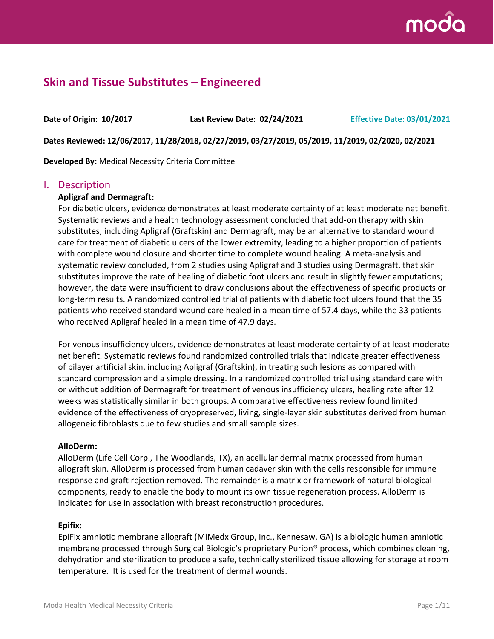

## **Skin and Tissue Substitutes – Engineered**

**Date of Origin: 10/2017 Last Review Date: 02/24/2021 Effective Date: 03/01/2021**

**Dates Reviewed: 12/06/2017, 11/28/2018, 02/27/2019, 03/27/2019, 05/2019, 11/2019, 02/2020, 02/2021**

**Developed By:** Medical Necessity Criteria Committee

### I. Description

#### **Apligraf and Dermagraft:**

For diabetic ulcers, evidence demonstrates at least moderate certainty of at least moderate net benefit. Systematic reviews and a health technology assessment concluded that add-on therapy with skin substitutes, including Apligraf (Graftskin) and Dermagraft, may be an alternative to standard wound care for treatment of diabetic ulcers of the lower extremity, leading to a higher proportion of patients with complete wound closure and shorter time to complete wound healing. A meta-analysis and systematic review concluded, from 2 studies using Apligraf and 3 studies using Dermagraft, that skin substitutes improve the rate of healing of diabetic foot ulcers and result in slightly fewer amputations; however, the data were insufficient to draw conclusions about the effectiveness of specific products or long-term results. A randomized controlled trial of patients with diabetic foot ulcers found that the 35 patients who received standard wound care healed in a mean time of 57.4 days, while the 33 patients who received Apligraf healed in a mean time of 47.9 days.

For venous insufficiency ulcers, evidence demonstrates at least moderate certainty of at least moderate net benefit. Systematic reviews found randomized controlled trials that indicate greater effectiveness of bilayer artificial skin, including Apligraf (Graftskin), in treating such lesions as compared with standard compression and a simple dressing. In a randomized controlled trial using standard care with or without addition of Dermagraft for treatment of venous insufficiency ulcers, healing rate after 12 weeks was statistically similar in both groups. A comparative effectiveness review found limited evidence of the effectiveness of cryopreserved, living, single-layer skin substitutes derived from human allogeneic fibroblasts due to few studies and small sample sizes.

#### **AlloDerm:**

AlloDerm (Life Cell Corp., The Woodlands, TX), an acellular dermal matrix processed from human allograft skin. AlloDerm is processed from human cadaver skin with the cells responsible for immune response and graft rejection removed. The remainder is a matrix or framework of natural biological components, ready to enable the body to mount its own tissue regeneration process. AlloDerm is indicated for use in association with breast reconstruction procedures.

#### **Epifix:**

EpiFix amniotic membrane allograft (MiMedx Group, Inc., Kennesaw, GA) is a biologic human amniotic membrane processed through Surgical Biologic's proprietary Purion® process, which combines cleaning, dehydration and sterilization to produce a safe, technically sterilized tissue allowing for storage at room temperature. It is used for the treatment of dermal wounds.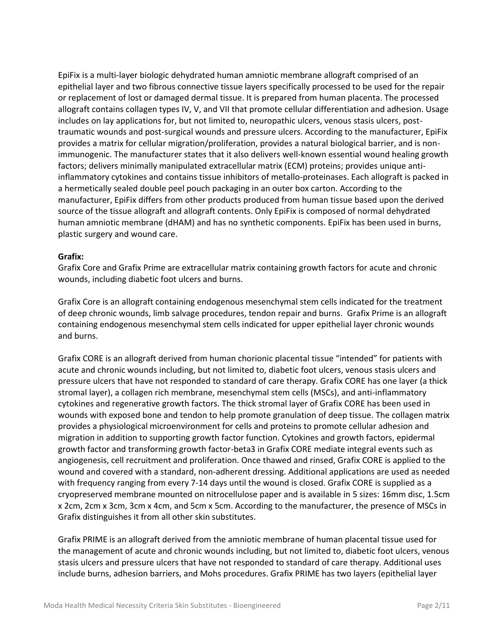EpiFix is a multi-layer biologic dehydrated human amniotic membrane allograft comprised of an epithelial layer and two fibrous connective tissue layers specifically processed to be used for the repair or replacement of lost or damaged dermal tissue. It is prepared from human placenta. The processed allograft contains collagen types IV, V, and VII that promote cellular differentiation and adhesion. Usage includes on lay applications for, but not limited to, neuropathic ulcers, venous stasis ulcers, posttraumatic wounds and post-surgical wounds and pressure ulcers. According to the manufacturer, EpiFix provides a matrix for cellular migration/proliferation, provides a natural biological barrier, and is nonimmunogenic. The manufacturer states that it also delivers well-known essential wound healing growth factors; delivers minimally manipulated extracellular matrix (ECM) proteins; provides unique antiinflammatory cytokines and contains tissue inhibitors of metallo-proteinases. Each allograft is packed in a hermetically sealed double peel pouch packaging in an outer box carton. According to the manufacturer, EpiFix differs from other products produced from human tissue based upon the derived source of the tissue allograft and allograft contents. Only EpiFix is composed of normal dehydrated human amniotic membrane (dHAM) and has no synthetic components. EpiFix has been used in burns, plastic surgery and wound care.

#### **Grafix:**

Grafix Core and Grafix Prime are extracellular matrix containing growth factors for acute and chronic wounds, including diabetic foot ulcers and burns.

Grafix Core is an allograft containing endogenous mesenchymal stem cells indicated for the treatment of deep chronic wounds, limb salvage procedures, tendon repair and burns. Grafix Prime is an allograft containing endogenous mesenchymal stem cells indicated for upper epithelial layer chronic wounds and burns.

Grafix CORE is an allograft derived from human chorionic placental tissue "intended" for patients with acute and chronic wounds including, but not limited to, diabetic foot ulcers, venous stasis ulcers and pressure ulcers that have not responded to standard of care therapy. Grafix CORE has one layer (a thick stromal layer), a collagen rich membrane, mesenchymal stem cells (MSCs), and anti-inflammatory cytokines and regenerative growth factors. The thick stromal layer of Grafix CORE has been used in wounds with exposed bone and tendon to help promote granulation of deep tissue. The collagen matrix provides a physiological microenvironment for cells and proteins to promote cellular adhesion and migration in addition to supporting growth factor function. Cytokines and growth factors, epidermal growth factor and transforming growth factor-beta3 in Grafix CORE mediate integral events such as angiogenesis, cell recruitment and proliferation. Once thawed and rinsed, Grafix CORE is applied to the wound and covered with a standard, non-adherent dressing. Additional applications are used as needed with frequency ranging from every 7-14 days until the wound is closed. Grafix CORE is supplied as a cryopreserved membrane mounted on nitrocellulose paper and is available in 5 sizes: 16mm disc, 1.5cm x 2cm, 2cm x 3cm, 3cm x 4cm, and 5cm x 5cm. According to the manufacturer, the presence of MSCs in Grafix distinguishes it from all other skin substitutes.

Grafix PRIME is an allograft derived from the amniotic membrane of human placental tissue used for the management of acute and chronic wounds including, but not limited to, diabetic foot ulcers, venous stasis ulcers and pressure ulcers that have not responded to standard of care therapy. Additional uses include burns, adhesion barriers, and Mohs procedures. Grafix PRIME has two layers (epithelial layer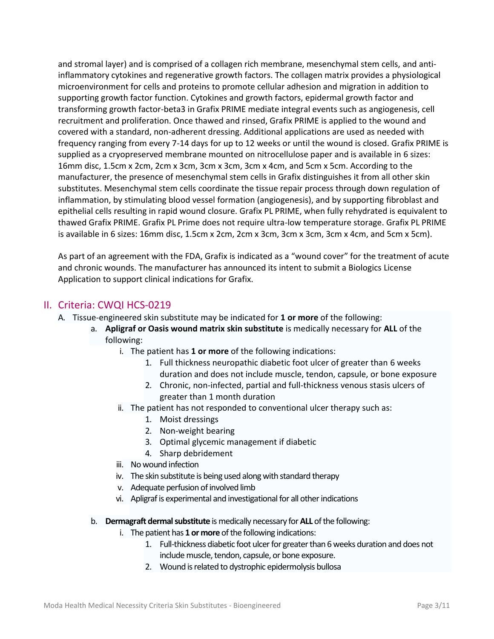and stromal layer) and is comprised of a collagen rich membrane, mesenchymal stem cells, and antiinflammatory cytokines and regenerative growth factors. The collagen matrix provides a physiological microenvironment for cells and proteins to promote cellular adhesion and migration in addition to supporting growth factor function. Cytokines and growth factors, epidermal growth factor and transforming growth factor-beta3 in Grafix PRIME mediate integral events such as angiogenesis, cell recruitment and proliferation. Once thawed and rinsed, Grafix PRIME is applied to the wound and covered with a standard, non-adherent dressing. Additional applications are used as needed with frequency ranging from every 7-14 days for up to 12 weeks or until the wound is closed. Grafix PRIME is supplied as a cryopreserved membrane mounted on nitrocellulose paper and is available in 6 sizes: 16mm disc, 1.5cm x 2cm, 2cm x 3cm, 3cm x 3cm, 3cm x 4cm, and 5cm x 5cm. According to the manufacturer, the presence of mesenchymal stem cells in Grafix distinguishes it from all other skin substitutes. Mesenchymal stem cells coordinate the tissue repair process through down regulation of inflammation, by stimulating blood vessel formation (angiogenesis), and by supporting fibroblast and epithelial cells resulting in rapid wound closure. Grafix PL PRIME, when fully rehydrated is equivalent to thawed Grafix PRIME. Grafix PL Prime does not require ultra-low temperature storage. Grafix PL PRIME is available in 6 sizes: 16mm disc, 1.5cm x 2cm, 2cm x 3cm, 3cm x 3cm, 3cm x 4cm, and 5cm x 5cm).

As part of an agreement with the FDA, Grafix is indicated as a "wound cover" for the treatment of acute and chronic wounds. The manufacturer has announced its intent to submit a Biologics License Application to support clinical indications for Grafix.

### II. Criteria: CWQI HCS-0219

- A. Tissue-engineered skin substitute may be indicated for **1 or more** of the following:
	- a. **Apligraf or Oasis wound matrix skin substitute** is medically necessary for **ALL** of the following:
		- i. The patient has **1 or more** of the following indications:
			- 1. Full thickness neuropathic diabetic foot ulcer of greater than 6 weeks duration and does not include muscle, tendon, capsule, or bone exposure
			- 2. Chronic, non-infected, partial and full-thickness venous stasis ulcers of greater than 1 month duration
		- ii. The patient has not responded to conventional ulcer therapy such as:
			- 1. Moist dressings
			- 2. Non-weight bearing
			- 3. Optimal glycemic management if diabetic
			- 4. Sharp debridement
		- iii. No wound infection
		- iv. The skin substitute is being used along with standard therapy
		- v. Adequate perfusion of involved limb
		- vi. Apligraf is experimental and investigational for all other indications
	- b. **Dermagraft dermal substitute** is medically necessary for **ALL** of the following:
		- i. The patient has **1 or more** of the following indications:
			- 1. Full-thickness diabetic foot ulcer for greater than 6 weeks duration and does not include muscle, tendon, capsule, or bone exposure.
			- 2. Wound is related to dystrophic epidermolysis bullosa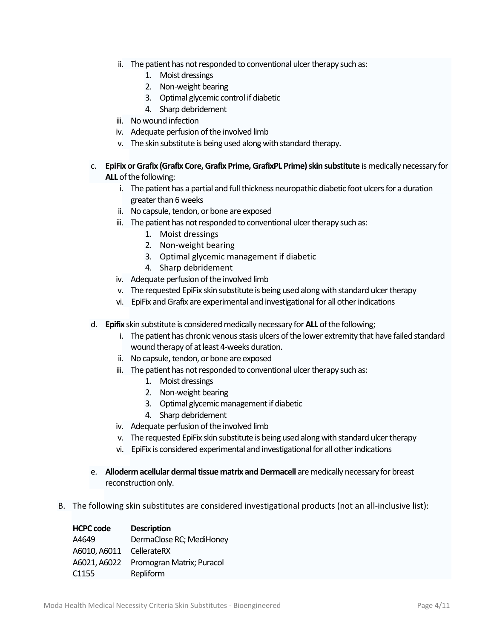- ii. The patient has not responded to conventional ulcer therapy such as:
	- 1. Moist dressings
	- 2. Non-weight bearing
	- 3. Optimal glycemic control if diabetic
	- 4. Sharp debridement
- iii. No wound infection
- iv. Adequate perfusion of the involved limb
- v. The skin substitute is being used along with standard therapy.
- c. **EpiFix orGrafix (Grafix Core, Grafix Prime, GrafixPL Prime) skin substitute** is medically necessary for **ALL** of the following:
	- i. The patient has a partial and full thickness neuropathic diabetic foot ulcers for a duration greater than 6 weeks
	- ii. No capsule, tendon, or bone are exposed
	- iii. The patient has not responded to conventional ulcer therapy such as:
		- 1. Moist dressings
		- 2. Non-weight bearing
		- 3. Optimal glycemic management if diabetic
		- 4. Sharp debridement
	- iv. Adequate perfusion of the involved limb
	- v. The requested EpiFix skin substitute is being used along with standard ulcer therapy
	- vi. EpiFix and Grafix are experimental and investigational for all other indications
- d. **Epifix** skin substitute is considered medically necessary for **ALL** of the following;
	- i. The patient has chronic venous stasis ulcers of the lower extremity that have failed standard wound therapy of at least 4-weeks duration.
	- ii. No capsule, tendon, or bone are exposed
	- iii. The patient has not responded to conventional ulcer therapy such as:
		- 1. Moist dressings
		- 2. Non-weight bearing
		- 3. Optimal glycemic management if diabetic
		- 4. Sharp debridement
	- iv. Adequate perfusion of the involved limb
	- v. The requested EpiFix skin substitute is being used along with standard ulcer therapy
	- vi. EpiFix is considered experimental and investigational for all other indications
- e. **Alloderm acellular dermal tissue matrix and Dermacell** aremedically necessary for breast reconstruction only.
- B. The following skin substitutes are considered investigational products (not an all-inclusive list):

| <b>HCPC code</b>         | <b>Description</b>                     |
|--------------------------|----------------------------------------|
| A4649                    | DermaClose RC; MediHoney               |
| A6010, A6011 CellerateRX |                                        |
|                          | A6021, A6022 Promogran Matrix; Puracol |
| C <sub>1155</sub>        | Repliform                              |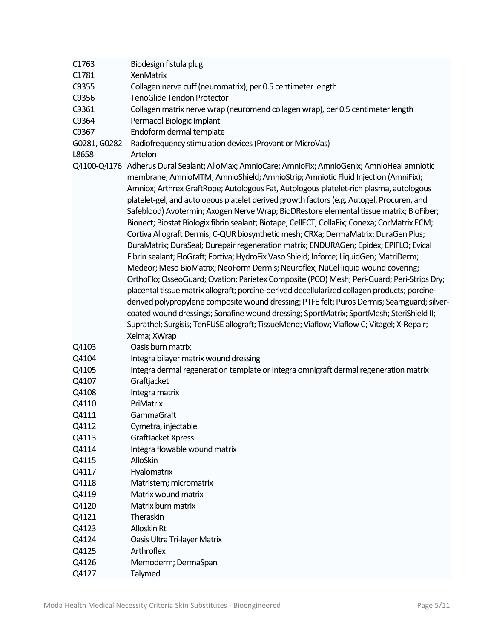| C1763          | Biodesign fistula plug                                                                                                                                                                                                                                                                                                                                                                                                                                                                                                                                                                                                                                                                                                                                                                                                                                                                                                                                                                                                                                                                                                                                                                                                                                                                                                                                                                                                      |
|----------------|-----------------------------------------------------------------------------------------------------------------------------------------------------------------------------------------------------------------------------------------------------------------------------------------------------------------------------------------------------------------------------------------------------------------------------------------------------------------------------------------------------------------------------------------------------------------------------------------------------------------------------------------------------------------------------------------------------------------------------------------------------------------------------------------------------------------------------------------------------------------------------------------------------------------------------------------------------------------------------------------------------------------------------------------------------------------------------------------------------------------------------------------------------------------------------------------------------------------------------------------------------------------------------------------------------------------------------------------------------------------------------------------------------------------------------|
| C1781          | <b>XenMatrix</b>                                                                                                                                                                                                                                                                                                                                                                                                                                                                                                                                                                                                                                                                                                                                                                                                                                                                                                                                                                                                                                                                                                                                                                                                                                                                                                                                                                                                            |
| C9355          | Collagen nerve cuff (neuromatrix), per 0.5 centimeter length                                                                                                                                                                                                                                                                                                                                                                                                                                                                                                                                                                                                                                                                                                                                                                                                                                                                                                                                                                                                                                                                                                                                                                                                                                                                                                                                                                |
| C9356          | <b>TenoGlide Tendon Protector</b>                                                                                                                                                                                                                                                                                                                                                                                                                                                                                                                                                                                                                                                                                                                                                                                                                                                                                                                                                                                                                                                                                                                                                                                                                                                                                                                                                                                           |
| C9361          | Collagen matrix nerve wrap (neuromend collagen wrap), per 0.5 centimeter length                                                                                                                                                                                                                                                                                                                                                                                                                                                                                                                                                                                                                                                                                                                                                                                                                                                                                                                                                                                                                                                                                                                                                                                                                                                                                                                                             |
| C9364          | Permacol Biologic Implant                                                                                                                                                                                                                                                                                                                                                                                                                                                                                                                                                                                                                                                                                                                                                                                                                                                                                                                                                                                                                                                                                                                                                                                                                                                                                                                                                                                                   |
| C9367          | Endoform dermal template                                                                                                                                                                                                                                                                                                                                                                                                                                                                                                                                                                                                                                                                                                                                                                                                                                                                                                                                                                                                                                                                                                                                                                                                                                                                                                                                                                                                    |
| G0281, G0282   | Radiofrequency stimulation devices (Provant or MicroVas)                                                                                                                                                                                                                                                                                                                                                                                                                                                                                                                                                                                                                                                                                                                                                                                                                                                                                                                                                                                                                                                                                                                                                                                                                                                                                                                                                                    |
| L8658          | Artelon                                                                                                                                                                                                                                                                                                                                                                                                                                                                                                                                                                                                                                                                                                                                                                                                                                                                                                                                                                                                                                                                                                                                                                                                                                                                                                                                                                                                                     |
|                | Q4100-Q4176 Adherus Dural Sealant; AlloMax; AmnioCare; AmnioFix; AmnioGenix; AmnioHeal amniotic<br>membrane; AmnioMTM; AmnioShield; AmnioStrip; Amniotic Fluid Injection (AmniFix);<br>Amniox; Arthrex GraftRope; Autologous Fat, Autologous platelet-rich plasma, autologous<br>platelet-gel, and autologous platelet derived growth factors (e.g. Autogel, Procuren, and<br>Safeblood) Avotermin; Axogen Nerve Wrap; BioDRestore elemental tissue matrix; BioFiber;<br>Bionect; Biostat Biologix fibrin sealant; Biotape; CellECT; CollaFix; Conexa; CorMatrix ECM;<br>Cortiva Allograft Dermis; C-QUR biosynthetic mesh; CRXa; DermaMatrix; DuraGen Plus;<br>DuraMatrix; DuraSeal; Durepair regeneration matrix; ENDURAGen; Epidex; EPIFLO; Evical<br>Fibrin sealant; FloGraft; Fortiva; HydroFix Vaso Shield; Inforce; LiquidGen; MatriDerm;<br>Medeor; Meso BioMatrix; NeoForm Dermis; Neuroflex; NuCel liquid wound covering;<br>OrthoFlo; OsseoGuard; Ovation; Parietex Composite (PCO) Mesh; Peri-Guard; Peri-Strips Dry;<br>placental tissue matrix allograft; porcine-derived decellularized collagen products; porcine-<br>derived polypropylene composite wound dressing; PTFE felt; Puros Dermis; Seamguard; silver-<br>coated wound dressings; Sonafine wound dressing; SportMatrix; SportMesh; SteriShield II;<br>Suprathel; Surgisis; TenFUSE allograft; TissueMend; Viaflow; Viaflow C; Vitagel; X-Repair; |
|                | Xelma; XWrap                                                                                                                                                                                                                                                                                                                                                                                                                                                                                                                                                                                                                                                                                                                                                                                                                                                                                                                                                                                                                                                                                                                                                                                                                                                                                                                                                                                                                |
| Q4103          | Oasis burn matrix                                                                                                                                                                                                                                                                                                                                                                                                                                                                                                                                                                                                                                                                                                                                                                                                                                                                                                                                                                                                                                                                                                                                                                                                                                                                                                                                                                                                           |
| Q4104          | Integra bilayer matrix wound dressing                                                                                                                                                                                                                                                                                                                                                                                                                                                                                                                                                                                                                                                                                                                                                                                                                                                                                                                                                                                                                                                                                                                                                                                                                                                                                                                                                                                       |
| Q4105          | Integra dermal regeneration template or Integra omnigraft dermal regeneration matrix                                                                                                                                                                                                                                                                                                                                                                                                                                                                                                                                                                                                                                                                                                                                                                                                                                                                                                                                                                                                                                                                                                                                                                                                                                                                                                                                        |
| Q4107          | Graftjacket                                                                                                                                                                                                                                                                                                                                                                                                                                                                                                                                                                                                                                                                                                                                                                                                                                                                                                                                                                                                                                                                                                                                                                                                                                                                                                                                                                                                                 |
| Q4108          | Integra matrix<br>PriMatrix                                                                                                                                                                                                                                                                                                                                                                                                                                                                                                                                                                                                                                                                                                                                                                                                                                                                                                                                                                                                                                                                                                                                                                                                                                                                                                                                                                                                 |
| Q4110<br>Q4111 |                                                                                                                                                                                                                                                                                                                                                                                                                                                                                                                                                                                                                                                                                                                                                                                                                                                                                                                                                                                                                                                                                                                                                                                                                                                                                                                                                                                                                             |
| Q4112          | GammaGraft<br>Cymetra, injectable                                                                                                                                                                                                                                                                                                                                                                                                                                                                                                                                                                                                                                                                                                                                                                                                                                                                                                                                                                                                                                                                                                                                                                                                                                                                                                                                                                                           |
| Q4113          | GraftJacket Xpress                                                                                                                                                                                                                                                                                                                                                                                                                                                                                                                                                                                                                                                                                                                                                                                                                                                                                                                                                                                                                                                                                                                                                                                                                                                                                                                                                                                                          |
| Q4114          | Integra flowable wound matrix                                                                                                                                                                                                                                                                                                                                                                                                                                                                                                                                                                                                                                                                                                                                                                                                                                                                                                                                                                                                                                                                                                                                                                                                                                                                                                                                                                                               |
| Q4115          | AlloSkin                                                                                                                                                                                                                                                                                                                                                                                                                                                                                                                                                                                                                                                                                                                                                                                                                                                                                                                                                                                                                                                                                                                                                                                                                                                                                                                                                                                                                    |
| Q4117          | Hyalomatrix                                                                                                                                                                                                                                                                                                                                                                                                                                                                                                                                                                                                                                                                                                                                                                                                                                                                                                                                                                                                                                                                                                                                                                                                                                                                                                                                                                                                                 |
| Q4118          | Matristem; micromatrix                                                                                                                                                                                                                                                                                                                                                                                                                                                                                                                                                                                                                                                                                                                                                                                                                                                                                                                                                                                                                                                                                                                                                                                                                                                                                                                                                                                                      |
|                | Matrix wound matrix                                                                                                                                                                                                                                                                                                                                                                                                                                                                                                                                                                                                                                                                                                                                                                                                                                                                                                                                                                                                                                                                                                                                                                                                                                                                                                                                                                                                         |
| Q4119          |                                                                                                                                                                                                                                                                                                                                                                                                                                                                                                                                                                                                                                                                                                                                                                                                                                                                                                                                                                                                                                                                                                                                                                                                                                                                                                                                                                                                                             |
| Q4120          | Matrix burn matrix                                                                                                                                                                                                                                                                                                                                                                                                                                                                                                                                                                                                                                                                                                                                                                                                                                                                                                                                                                                                                                                                                                                                                                                                                                                                                                                                                                                                          |
| Q4121          | Theraskin                                                                                                                                                                                                                                                                                                                                                                                                                                                                                                                                                                                                                                                                                                                                                                                                                                                                                                                                                                                                                                                                                                                                                                                                                                                                                                                                                                                                                   |
| Q4123          | Alloskin Rt                                                                                                                                                                                                                                                                                                                                                                                                                                                                                                                                                                                                                                                                                                                                                                                                                                                                                                                                                                                                                                                                                                                                                                                                                                                                                                                                                                                                                 |
| Q4124          | Oasis Ultra Tri-layer Matrix                                                                                                                                                                                                                                                                                                                                                                                                                                                                                                                                                                                                                                                                                                                                                                                                                                                                                                                                                                                                                                                                                                                                                                                                                                                                                                                                                                                                |
| Q4125          | Arthroflex                                                                                                                                                                                                                                                                                                                                                                                                                                                                                                                                                                                                                                                                                                                                                                                                                                                                                                                                                                                                                                                                                                                                                                                                                                                                                                                                                                                                                  |
| Q4126          | Memoderm; DermaSpan                                                                                                                                                                                                                                                                                                                                                                                                                                                                                                                                                                                                                                                                                                                                                                                                                                                                                                                                                                                                                                                                                                                                                                                                                                                                                                                                                                                                         |
| Q4127          | Talymed                                                                                                                                                                                                                                                                                                                                                                                                                                                                                                                                                                                                                                                                                                                                                                                                                                                                                                                                                                                                                                                                                                                                                                                                                                                                                                                                                                                                                     |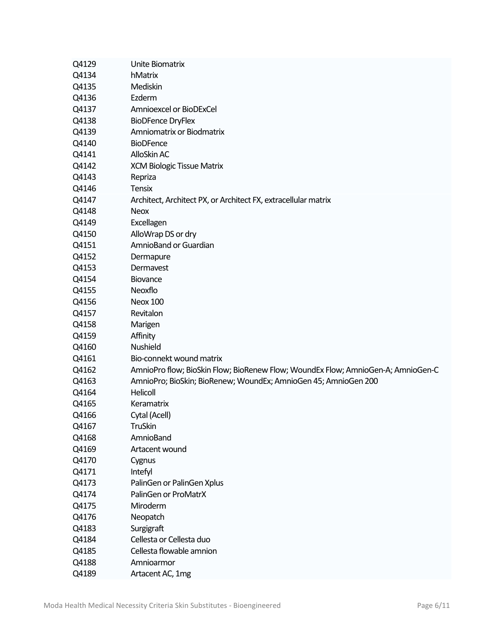| Q4129 | Unite Biomatrix                                                                  |
|-------|----------------------------------------------------------------------------------|
| Q4134 | hMatrix                                                                          |
| Q4135 | Mediskin                                                                         |
| Q4136 | Ezderm                                                                           |
| Q4137 | Amnioexcel or BioDExCel                                                          |
| Q4138 | <b>BioDFence DryFlex</b>                                                         |
| Q4139 | Amniomatrix or Biodmatrix                                                        |
| Q4140 | <b>BioDFence</b>                                                                 |
| Q4141 | AlloSkin AC                                                                      |
| Q4142 | <b>XCM Biologic Tissue Matrix</b>                                                |
| Q4143 | Repriza                                                                          |
| Q4146 | <b>Tensix</b>                                                                    |
| Q4147 | Architect, Architect PX, or Architect FX, extracellular matrix                   |
| Q4148 | <b>Neox</b>                                                                      |
| Q4149 | Excellagen                                                                       |
| Q4150 | AlloWrap DS or dry                                                               |
| Q4151 | AmnioBand or Guardian                                                            |
| Q4152 | Dermapure                                                                        |
| Q4153 | Dermayest                                                                        |
| Q4154 | Biovance                                                                         |
| Q4155 | Neoxflo                                                                          |
| Q4156 | Neox 100                                                                         |
| Q4157 | Revitalon                                                                        |
| Q4158 | Marigen                                                                          |
| Q4159 | Affinity                                                                         |
| Q4160 | <b>Nushield</b>                                                                  |
| Q4161 | Bio-connekt wound matrix                                                         |
| Q4162 | AmnioPro flow; BioSkin Flow; BioRenew Flow; WoundEx Flow; AmnioGen-A; AmnioGen-C |
| Q4163 | AmnioPro; BioSkin; BioRenew; WoundEx; AmnioGen 45; AmnioGen 200                  |
| Q4164 | Helicoll                                                                         |
| Q4165 | Keramatrix                                                                       |
| Q4166 | Cytal (Acell)                                                                    |
| Q4167 | <b>TruSkin</b>                                                                   |
| Q4168 | AmnioBand                                                                        |
| Q4169 | Artacent wound                                                                   |
| Q4170 | Cygnus                                                                           |
| Q4171 | Intefyl                                                                          |
| Q4173 | PalinGen or PalinGen Xplus                                                       |
| Q4174 | PalinGen or ProMatrX                                                             |
| Q4175 | Miroderm                                                                         |
| Q4176 | Neopatch                                                                         |
| Q4183 | Surgigraft                                                                       |
| Q4184 | Cellesta or Cellesta duo                                                         |
| Q4185 | Cellesta flowable amnion                                                         |
| Q4188 | Amnioarmor                                                                       |
| Q4189 | Artacent AC, 1mg                                                                 |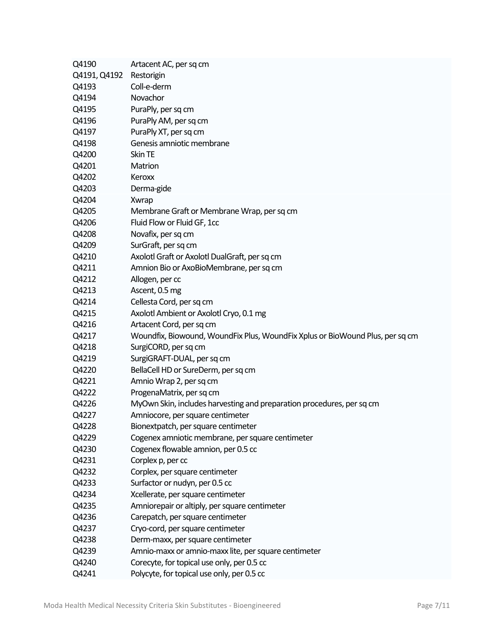| Q4190        | Artacent AC, per sq cm                                                        |
|--------------|-------------------------------------------------------------------------------|
| Q4191, Q4192 | Restorigin                                                                    |
| Q4193        | Coll-e-derm                                                                   |
| Q4194        | Novachor                                                                      |
| Q4195        | PuraPly, per sq cm                                                            |
| Q4196        | PuraPly AM, per sq cm                                                         |
| Q4197        | PuraPly XT, per sq cm                                                         |
| Q4198        | Genesis amniotic membrane                                                     |
| Q4200        | Skin TE                                                                       |
| Q4201        | Matrion                                                                       |
| Q4202        | Keroxx                                                                        |
| Q4203        | Derma-gide                                                                    |
| Q4204        | Xwrap                                                                         |
| Q4205        | Membrane Graft or Membrane Wrap, per sq cm                                    |
| Q4206        | Fluid Flow or Fluid GF, 1cc                                                   |
| Q4208        | Novafix, per sq cm                                                            |
| Q4209        | SurGraft, per sq cm                                                           |
| Q4210        | Axolotl Graft or Axolotl DualGraft, per sq cm                                 |
| Q4211        | Amnion Bio or AxoBioMembrane, per sq cm                                       |
| Q4212        | Allogen, per cc                                                               |
| Q4213        | Ascent, 0.5 mg                                                                |
| Q4214        | Cellesta Cord, per sq cm                                                      |
| Q4215        | Axolotl Ambient or Axolotl Cryo, 0.1 mg                                       |
| Q4216        | Artacent Cord, per sq cm                                                      |
| Q4217        | Woundfix, Biowound, WoundFix Plus, WoundFix Xplus or BioWound Plus, per sq cm |
| Q4218        | SurgiCORD, per sq cm                                                          |
| Q4219        | SurgiGRAFT-DUAL, per sq cm                                                    |
| Q4220        | BellaCell HD or SureDerm, per sq cm                                           |
| Q4221        | Amnio Wrap 2, per sq cm                                                       |
| Q4222        | ProgenaMatrix, per sq cm                                                      |
| Q4226        | MyOwn Skin, includes harvesting and preparation procedures, per sq cm         |
| Q4227        | Amniocore, per square centimeter                                              |
| Q4228        | Bionextpatch, per square centimeter                                           |
| Q4229        | Cogenex amniotic membrane, per square centimeter                              |
| Q4230        | Cogenex flowable amnion, per 0.5 cc                                           |
| Q4231        | Corplex p, per cc                                                             |
| Q4232        | Corplex, per square centimeter                                                |
| Q4233        | Surfactor or nudyn, per 0.5 cc                                                |
| Q4234        | Xcellerate, per square centimeter                                             |
| Q4235        | Amniorepair or altiply, per square centimeter                                 |
| Q4236        | Carepatch, per square centimeter                                              |
| Q4237        | Cryo-cord, per square centimeter                                              |
| Q4238        | Derm-maxx, per square centimeter                                              |
| Q4239        | Amnio-maxx or amnio-maxx lite, per square centimeter                          |
| Q4240        | Corecyte, for topical use only, per 0.5 cc                                    |
| Q4241        | Polycyte, for topical use only, per 0.5 cc                                    |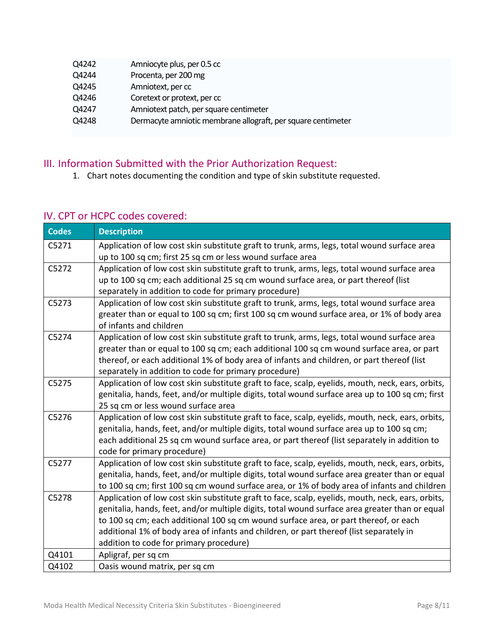| Q4242 | Amniocyte plus, per 0.5 cc                                   |
|-------|--------------------------------------------------------------|
| Q4244 | Procenta, per 200 mg                                         |
| Q4245 | Amniotext, per cc                                            |
| Q4246 | Coretext or protext, per cc                                  |
| Q4247 | Amniotext patch, per square centimeter                       |
| Q4248 | Dermacyte amniotic membrane allograft, per square centimeter |
|       |                                                              |

## III. Information Submitted with the Prior Authorization Request:

1. Chart notes documenting the condition and type of skin substitute requested.

## IV. CPT or HCPC codes covered:

| <b>Codes</b> | <b>Description</b>                                                                                |
|--------------|---------------------------------------------------------------------------------------------------|
| C5271        | Application of low cost skin substitute graft to trunk, arms, legs, total wound surface area      |
|              | up to 100 sq cm; first 25 sq cm or less wound surface area                                        |
| C5272        | Application of low cost skin substitute graft to trunk, arms, legs, total wound surface area      |
|              | up to 100 sq cm; each additional 25 sq cm wound surface area, or part thereof (list               |
|              | separately in addition to code for primary procedure)                                             |
| C5273        | Application of low cost skin substitute graft to trunk, arms, legs, total wound surface area      |
|              | greater than or equal to 100 sq cm; first 100 sq cm wound surface area, or 1% of body area        |
|              | of infants and children                                                                           |
| C5274        | Application of low cost skin substitute graft to trunk, arms, legs, total wound surface area      |
|              | greater than or equal to 100 sq cm; each additional 100 sq cm wound surface area, or part         |
|              | thereof, or each additional 1% of body area of infants and children, or part thereof (list        |
|              | separately in addition to code for primary procedure)                                             |
| C5275        | Application of low cost skin substitute graft to face, scalp, eyelids, mouth, neck, ears, orbits, |
|              | genitalia, hands, feet, and/or multiple digits, total wound surface area up to 100 sq cm; first   |
|              | 25 sq cm or less wound surface area                                                               |
| C5276        | Application of low cost skin substitute graft to face, scalp, eyelids, mouth, neck, ears, orbits, |
|              | genitalia, hands, feet, and/or multiple digits, total wound surface area up to 100 sq cm;         |
|              | each additional 25 sq cm wound surface area, or part thereof (list separately in addition to      |
|              | code for primary procedure)                                                                       |
| C5277        | Application of low cost skin substitute graft to face, scalp, eyelids, mouth, neck, ears, orbits, |
|              | genitalia, hands, feet, and/or multiple digits, total wound surface area greater than or equal    |
|              | to 100 sq cm; first 100 sq cm wound surface area, or 1% of body area of infants and children      |
| C5278        | Application of low cost skin substitute graft to face, scalp, eyelids, mouth, neck, ears, orbits, |
|              | genitalia, hands, feet, and/or multiple digits, total wound surface area greater than or equal    |
|              | to 100 sq cm; each additional 100 sq cm wound surface area, or part thereof, or each              |
|              | additional 1% of body area of infants and children, or part thereof (list separately in           |
|              | addition to code for primary procedure)                                                           |
| Q4101        | Apligraf, per sq cm                                                                               |
| Q4102        | Oasis wound matrix, per sq cm                                                                     |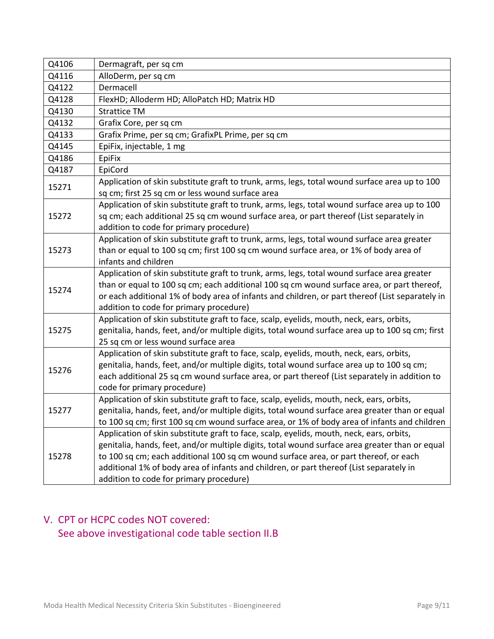| Q4106 | Dermagraft, per sq cm                                                                                         |
|-------|---------------------------------------------------------------------------------------------------------------|
| Q4116 | AlloDerm, per sq cm                                                                                           |
| Q4122 | Dermacell                                                                                                     |
| Q4128 | FlexHD; Alloderm HD; AlloPatch HD; Matrix HD                                                                  |
| Q4130 | <b>Strattice TM</b>                                                                                           |
| Q4132 | Grafix Core, per sq cm                                                                                        |
| Q4133 | Grafix Prime, per sq cm; GrafixPL Prime, per sq cm                                                            |
| Q4145 | EpiFix, injectable, 1 mg                                                                                      |
| Q4186 | EpiFix                                                                                                        |
| Q4187 | EpiCord                                                                                                       |
| 15271 | Application of skin substitute graft to trunk, arms, legs, total wound surface area up to 100                 |
|       | sq cm; first 25 sq cm or less wound surface area                                                              |
|       | Application of skin substitute graft to trunk, arms, legs, total wound surface area up to 100                 |
| 15272 | sq cm; each additional 25 sq cm wound surface area, or part thereof (List separately in                       |
|       | addition to code for primary procedure)                                                                       |
|       | Application of skin substitute graft to trunk, arms, legs, total wound surface area greater                   |
| 15273 | than or equal to 100 sq cm; first 100 sq cm wound surface area, or 1% of body area of<br>infants and children |
|       | Application of skin substitute graft to trunk, arms, legs, total wound surface area greater                   |
|       | than or equal to 100 sq cm; each additional 100 sq cm wound surface area, or part thereof,                    |
| 15274 | or each additional 1% of body area of infants and children, or part thereof (List separately in               |
|       | addition to code for primary procedure)                                                                       |
|       | Application of skin substitute graft to face, scalp, eyelids, mouth, neck, ears, orbits,                      |
| 15275 | genitalia, hands, feet, and/or multiple digits, total wound surface area up to 100 sq cm; first               |
|       | 25 sq cm or less wound surface area                                                                           |
|       | Application of skin substitute graft to face, scalp, eyelids, mouth, neck, ears, orbits,                      |
| 15276 | genitalia, hands, feet, and/or multiple digits, total wound surface area up to 100 sq cm;                     |
|       | each additional 25 sq cm wound surface area, or part thereof (List separately in addition to                  |
|       | code for primary procedure)                                                                                   |
|       | Application of skin substitute graft to face, scalp, eyelids, mouth, neck, ears, orbits,                      |
| 15277 | genitalia, hands, feet, and/or multiple digits, total wound surface area greater than or equal                |
|       | to 100 sq cm; first 100 sq cm wound surface area, or 1% of body area of infants and children                  |
| 15278 | Application of skin substitute graft to face, scalp, eyelids, mouth, neck, ears, orbits,                      |
|       | genitalia, hands, feet, and/or multiple digits, total wound surface area greater than or equal                |
|       | to 100 sq cm; each additional 100 sq cm wound surface area, or part thereof, or each                          |
|       | additional 1% of body area of infants and children, or part thereof (List separately in                       |
|       | addition to code for primary procedure)                                                                       |

# V. CPT or HCPC codes NOT covered:

See above investigational code table section II.B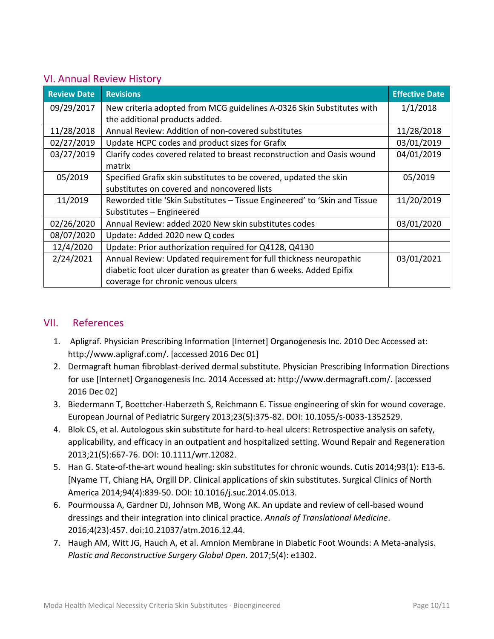### VI. Annual Review History

| <b>Review Date</b> | <b>Revisions</b>                                                          | <b>Effective Date</b> |
|--------------------|---------------------------------------------------------------------------|-----------------------|
| 09/29/2017         | New criteria adopted from MCG guidelines A-0326 Skin Substitutes with     | 1/1/2018              |
|                    | the additional products added.                                            |                       |
| 11/28/2018         | Annual Review: Addition of non-covered substitutes                        | 11/28/2018            |
| 02/27/2019         | Update HCPC codes and product sizes for Grafix                            | 03/01/2019            |
| 03/27/2019         | Clarify codes covered related to breast reconstruction and Oasis wound    | 04/01/2019            |
|                    | matrix                                                                    |                       |
| 05/2019            | Specified Grafix skin substitutes to be covered, updated the skin         | 05/2019               |
|                    | substitutes on covered and noncovered lists                               |                       |
| 11/2019            | Reworded title 'Skin Substitutes - Tissue Engineered' to 'Skin and Tissue | 11/20/2019            |
|                    | Substitutes - Engineered                                                  |                       |
| 02/26/2020         | Annual Review: added 2020 New skin substitutes codes                      | 03/01/2020            |
| 08/07/2020         | Update: Added 2020 new Q codes                                            |                       |
| 12/4/2020          | Update: Prior authorization required for Q4128, Q4130                     |                       |
| 2/24/2021          | Annual Review: Updated requirement for full thickness neuropathic         | 03/01/2021            |
|                    | diabetic foot ulcer duration as greater than 6 weeks. Added Epifix        |                       |
|                    | coverage for chronic venous ulcers                                        |                       |

### VII. References

- 1. Apligraf. Physician Prescribing Information [Internet] Organogenesis Inc. 2010 Dec Accessed at: http://www.apligraf.com/. [accessed 2016 Dec 01]
- 2. Dermagraft human fibroblast-derived dermal substitute. Physician Prescribing Information Directions for use [Internet] Organogenesis Inc. 2014 Accessed at: http://www.dermagraft.com/. [accessed 2016 Dec 02]
- 3. Biedermann T, Boettcher-Haberzeth S, Reichmann E. Tissue engineering of skin for wound coverage. European Journal of Pediatric Surgery 2013;23(5):375-82. DOI: 10.1055/s-0033-1352529.
- 4. Blok CS, et al. Autologous skin substitute for hard-to-heal ulcers: Retrospective analysis on safety, applicability, and efficacy in an outpatient and hospitalized setting. Wound Repair and Regeneration 2013;21(5):667-76. DOI: 10.1111/wrr.12082.
- 5. Han G. State-of-the-art wound healing: skin substitutes for chronic wounds. Cutis 2014;93(1): E13-6. [Nyame TT, Chiang HA, Orgill DP. Clinical applications of skin substitutes. Surgical Clinics of North America 2014;94(4):839-50. DOI: 10.1016/j.suc.2014.05.013.
- 6. Pourmoussa A, Gardner DJ, Johnson MB, Wong AK. An update and review of cell-based wound dressings and their integration into clinical practice. *Annals of Translational Medicine*. 2016;4(23):457. doi:10.21037/atm.2016.12.44.
- 7. Haugh AM, Witt JG, Hauch A, et al. Amnion Membrane in Diabetic Foot Wounds: A Meta-analysis. *Plastic and Reconstructive Surgery Global Open*. 2017;5(4): e1302.